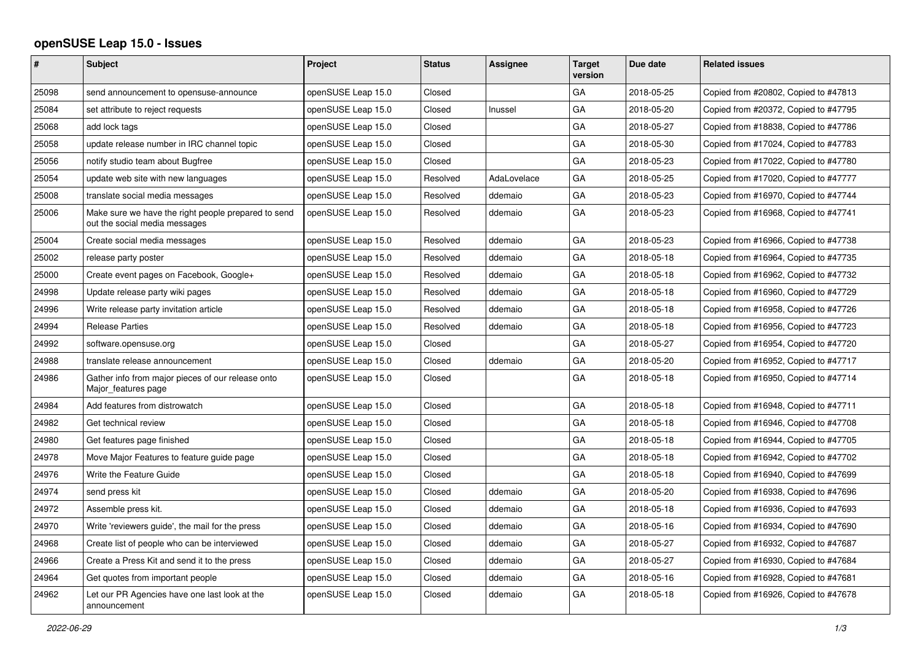## **openSUSE Leap 15.0 - Issues**

| #     | <b>Subject</b>                                                                       | <b>Project</b>     | <b>Status</b> | <b>Assignee</b> | <b>Target</b><br>version | Due date   | <b>Related issues</b>                |
|-------|--------------------------------------------------------------------------------------|--------------------|---------------|-----------------|--------------------------|------------|--------------------------------------|
| 25098 | send announcement to opensuse-announce                                               | openSUSE Leap 15.0 | Closed        |                 | GA                       | 2018-05-25 | Copied from #20802, Copied to #47813 |
| 25084 | set attribute to reject requests                                                     | openSUSE Leap 15.0 | Closed        | Inussel         | GA                       | 2018-05-20 | Copied from #20372, Copied to #47795 |
| 25068 | add lock tags                                                                        | openSUSE Leap 15.0 | Closed        |                 | GA                       | 2018-05-27 | Copied from #18838, Copied to #47786 |
| 25058 | update release number in IRC channel topic                                           | openSUSE Leap 15.0 | Closed        |                 | GA                       | 2018-05-30 | Copied from #17024, Copied to #47783 |
| 25056 | notify studio team about Bugfree                                                     | openSUSE Leap 15.0 | Closed        |                 | GA                       | 2018-05-23 | Copied from #17022, Copied to #47780 |
| 25054 | update web site with new languages                                                   | openSUSE Leap 15.0 | Resolved      | AdaLovelace     | GA                       | 2018-05-25 | Copied from #17020, Copied to #47777 |
| 25008 | translate social media messages                                                      | openSUSE Leap 15.0 | Resolved      | ddemaio         | GA                       | 2018-05-23 | Copied from #16970, Copied to #47744 |
| 25006 | Make sure we have the right people prepared to send<br>out the social media messages | openSUSE Leap 15.0 | Resolved      | ddemaio         | GA                       | 2018-05-23 | Copied from #16968, Copied to #47741 |
| 25004 | Create social media messages                                                         | openSUSE Leap 15.0 | Resolved      | ddemaio         | GA                       | 2018-05-23 | Copied from #16966, Copied to #47738 |
| 25002 | release party poster                                                                 | openSUSE Leap 15.0 | Resolved      | ddemaio         | GA                       | 2018-05-18 | Copied from #16964, Copied to #47735 |
| 25000 | Create event pages on Facebook, Google+                                              | openSUSE Leap 15.0 | Resolved      | ddemaio         | GA                       | 2018-05-18 | Copied from #16962, Copied to #47732 |
| 24998 | Update release party wiki pages                                                      | openSUSE Leap 15.0 | Resolved      | ddemaio         | GA                       | 2018-05-18 | Copied from #16960, Copied to #47729 |
| 24996 | Write release party invitation article                                               | openSUSE Leap 15.0 | Resolved      | ddemaio         | GA                       | 2018-05-18 | Copied from #16958, Copied to #47726 |
| 24994 | Release Parties                                                                      | openSUSE Leap 15.0 | Resolved      | ddemaio         | GA                       | 2018-05-18 | Copied from #16956, Copied to #47723 |
| 24992 | software.opensuse.org                                                                | openSUSE Leap 15.0 | Closed        |                 | GA                       | 2018-05-27 | Copied from #16954, Copied to #47720 |
| 24988 | translate release announcement                                                       | openSUSE Leap 15.0 | Closed        | ddemaio         | GA                       | 2018-05-20 | Copied from #16952, Copied to #47717 |
| 24986 | Gather info from major pieces of our release onto<br>Major features page             | openSUSE Leap 15.0 | Closed        |                 | GA                       | 2018-05-18 | Copied from #16950, Copied to #47714 |
| 24984 | Add features from distrowatch                                                        | openSUSE Leap 15.0 | Closed        |                 | GA                       | 2018-05-18 | Copied from #16948, Copied to #47711 |
| 24982 | Get technical review                                                                 | openSUSE Leap 15.0 | Closed        |                 | GA                       | 2018-05-18 | Copied from #16946, Copied to #47708 |
| 24980 | Get features page finished                                                           | openSUSE Leap 15.0 | Closed        |                 | GA                       | 2018-05-18 | Copied from #16944, Copied to #47705 |
| 24978 | Move Major Features to feature guide page                                            | openSUSE Leap 15.0 | Closed        |                 | GA                       | 2018-05-18 | Copied from #16942, Copied to #47702 |
| 24976 | Write the Feature Guide                                                              | openSUSE Leap 15.0 | Closed        |                 | GA                       | 2018-05-18 | Copied from #16940, Copied to #47699 |
| 24974 | send press kit                                                                       | openSUSE Leap 15.0 | Closed        | ddemaio         | GA                       | 2018-05-20 | Copied from #16938, Copied to #47696 |
| 24972 | Assemble press kit.                                                                  | openSUSE Leap 15.0 | Closed        | ddemaio         | GA                       | 2018-05-18 | Copied from #16936, Copied to #47693 |
| 24970 | Write 'reviewers guide', the mail for the press                                      | openSUSE Leap 15.0 | Closed        | ddemaio         | GA                       | 2018-05-16 | Copied from #16934, Copied to #47690 |
| 24968 | Create list of people who can be interviewed                                         | openSUSE Leap 15.0 | Closed        | ddemaio         | GA                       | 2018-05-27 | Copied from #16932, Copied to #47687 |
| 24966 | Create a Press Kit and send it to the press                                          | openSUSE Leap 15.0 | Closed        | ddemaio         | GA                       | 2018-05-27 | Copied from #16930, Copied to #47684 |
| 24964 | Get quotes from important people                                                     | openSUSE Leap 15.0 | Closed        | ddemaio         | GA                       | 2018-05-16 | Copied from #16928, Copied to #47681 |
| 24962 | Let our PR Agencies have one last look at the<br>announcement                        | openSUSE Leap 15.0 | Closed        | ddemaio         | GA                       | 2018-05-18 | Copied from #16926, Copied to #47678 |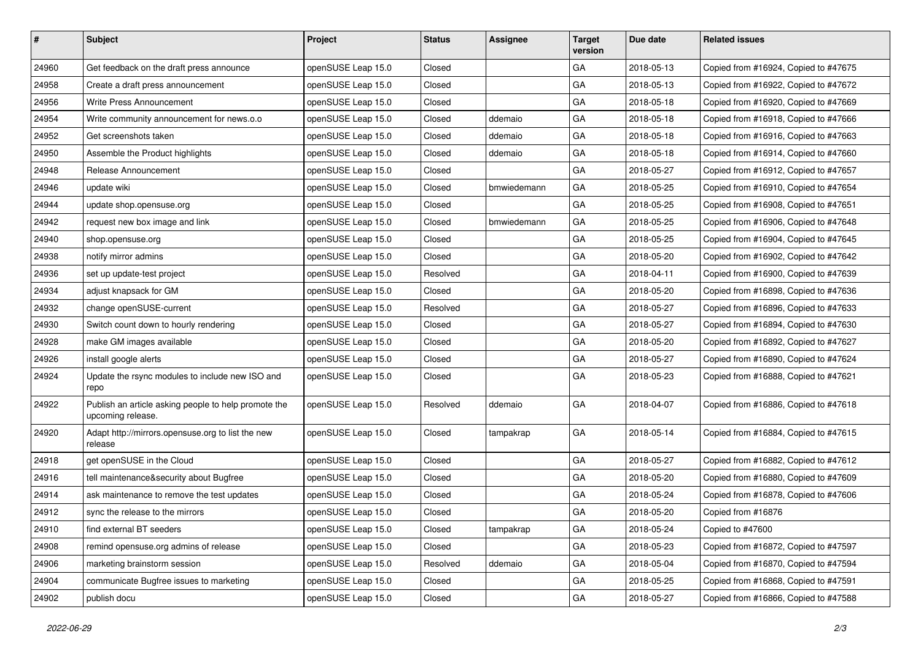| #     | Subject                                                                   | Project            | <b>Status</b> | <b>Assignee</b> | <b>Target</b><br>version | Due date   | <b>Related issues</b>                |
|-------|---------------------------------------------------------------------------|--------------------|---------------|-----------------|--------------------------|------------|--------------------------------------|
| 24960 | Get feedback on the draft press announce                                  | openSUSE Leap 15.0 | Closed        |                 | GA                       | 2018-05-13 | Copied from #16924, Copied to #47675 |
| 24958 | Create a draft press announcement                                         | openSUSE Leap 15.0 | Closed        |                 | GA                       | 2018-05-13 | Copied from #16922, Copied to #47672 |
| 24956 | Write Press Announcement                                                  | openSUSE Leap 15.0 | Closed        |                 | GA                       | 2018-05-18 | Copied from #16920, Copied to #47669 |
| 24954 | Write community announcement for news.o.o                                 | openSUSE Leap 15.0 | Closed        | ddemaio         | GA                       | 2018-05-18 | Copied from #16918, Copied to #47666 |
| 24952 | Get screenshots taken                                                     | openSUSE Leap 15.0 | Closed        | ddemaio         | GA                       | 2018-05-18 | Copied from #16916, Copied to #47663 |
| 24950 | Assemble the Product highlights                                           | openSUSE Leap 15.0 | Closed        | ddemaio         | GA                       | 2018-05-18 | Copied from #16914, Copied to #47660 |
| 24948 | Release Announcement                                                      | openSUSE Leap 15.0 | Closed        |                 | GA                       | 2018-05-27 | Copied from #16912, Copied to #47657 |
| 24946 | update wiki                                                               | openSUSE Leap 15.0 | Closed        | bmwiedemann     | GA                       | 2018-05-25 | Copied from #16910, Copied to #47654 |
| 24944 | update shop.opensuse.org                                                  | openSUSE Leap 15.0 | Closed        |                 | GA                       | 2018-05-25 | Copied from #16908, Copied to #47651 |
| 24942 | request new box image and link                                            | openSUSE Leap 15.0 | Closed        | bmwiedemann     | GA                       | 2018-05-25 | Copied from #16906, Copied to #47648 |
| 24940 | shop.opensuse.org                                                         | openSUSE Leap 15.0 | Closed        |                 | GA                       | 2018-05-25 | Copied from #16904, Copied to #47645 |
| 24938 | notify mirror admins                                                      | openSUSE Leap 15.0 | Closed        |                 | GA                       | 2018-05-20 | Copied from #16902, Copied to #47642 |
| 24936 | set up update-test project                                                | openSUSE Leap 15.0 | Resolved      |                 | GA                       | 2018-04-11 | Copied from #16900, Copied to #47639 |
| 24934 | adjust knapsack for GM                                                    | openSUSE Leap 15.0 | Closed        |                 | GA                       | 2018-05-20 | Copied from #16898, Copied to #47636 |
| 24932 | change openSUSE-current                                                   | openSUSE Leap 15.0 | Resolved      |                 | GA                       | 2018-05-27 | Copied from #16896, Copied to #47633 |
| 24930 | Switch count down to hourly rendering                                     | openSUSE Leap 15.0 | Closed        |                 | GA                       | 2018-05-27 | Copied from #16894, Copied to #47630 |
| 24928 | make GM images available                                                  | openSUSE Leap 15.0 | Closed        |                 | GA                       | 2018-05-20 | Copied from #16892, Copied to #47627 |
| 24926 | install google alerts                                                     | openSUSE Leap 15.0 | Closed        |                 | GA                       | 2018-05-27 | Copied from #16890, Copied to #47624 |
| 24924 | Update the rsync modules to include new ISO and<br>repo                   | openSUSE Leap 15.0 | Closed        |                 | GA                       | 2018-05-23 | Copied from #16888, Copied to #47621 |
| 24922 | Publish an article asking people to help promote the<br>upcoming release. | openSUSE Leap 15.0 | Resolved      | ddemaio         | GA                       | 2018-04-07 | Copied from #16886, Copied to #47618 |
| 24920 | Adapt http://mirrors.opensuse.org to list the new<br>release              | openSUSE Leap 15.0 | Closed        | tampakrap       | GA                       | 2018-05-14 | Copied from #16884, Copied to #47615 |
| 24918 | get openSUSE in the Cloud                                                 | openSUSE Leap 15.0 | Closed        |                 | GA                       | 2018-05-27 | Copied from #16882, Copied to #47612 |
| 24916 | tell maintenance&security about Bugfree                                   | openSUSE Leap 15.0 | Closed        |                 | GA                       | 2018-05-20 | Copied from #16880, Copied to #47609 |
| 24914 | ask maintenance to remove the test updates                                | openSUSE Leap 15.0 | Closed        |                 | GA                       | 2018-05-24 | Copied from #16878, Copied to #47606 |
| 24912 | sync the release to the mirrors                                           | openSUSE Leap 15.0 | Closed        |                 | GA                       | 2018-05-20 | Copied from #16876                   |
| 24910 | find external BT seeders                                                  | openSUSE Leap 15.0 | Closed        | tampakrap       | GA                       | 2018-05-24 | Copied to #47600                     |
| 24908 | remind opensuse.org admins of release                                     | openSUSE Leap 15.0 | Closed        |                 | GA                       | 2018-05-23 | Copied from #16872, Copied to #47597 |
| 24906 | marketing brainstorm session                                              | openSUSE Leap 15.0 | Resolved      | ddemaio         | GA                       | 2018-05-04 | Copied from #16870, Copied to #47594 |
| 24904 | communicate Bugfree issues to marketing                                   | openSUSE Leap 15.0 | Closed        |                 | GA                       | 2018-05-25 | Copied from #16868, Copied to #47591 |
| 24902 | publish docu                                                              | openSUSE Leap 15.0 | Closed        |                 | GA                       | 2018-05-27 | Copied from #16866, Copied to #47588 |